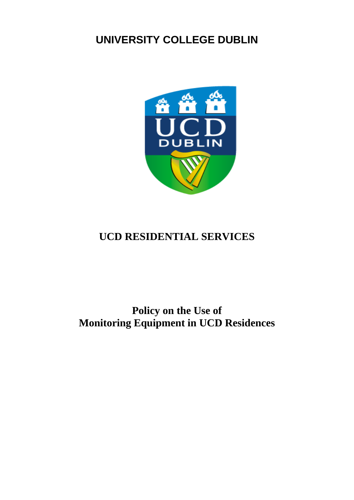# **UNIVERSITY COLLEGE DUBLIN**



# **UCD RESIDENTIAL SERVICES**

# **Policy on the Use of Monitoring Equipment in UCD Residences**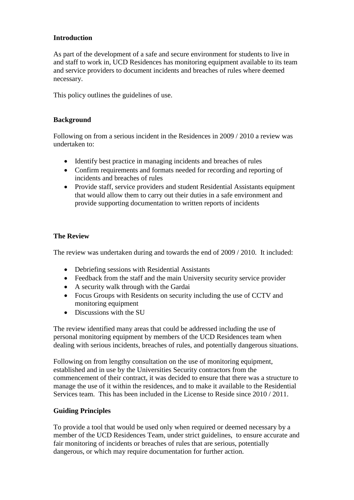### **Introduction**

As part of the development of a safe and secure environment for students to live in and staff to work in, UCD Residences has monitoring equipment available to its team and service providers to document incidents and breaches of rules where deemed necessary.

This policy outlines the guidelines of use.

### **Background**

Following on from a serious incident in the Residences in 2009 / 2010 a review was undertaken to:

- Identify best practice in managing incidents and breaches of rules
- Confirm requirements and formats needed for recording and reporting of incidents and breaches of rules
- Provide staff, service providers and student Residential Assistants equipment that would allow them to carry out their duties in a safe environment and provide supporting documentation to written reports of incidents

## **The Review**

The review was undertaken during and towards the end of 2009 / 2010. It included:

- Debriefing sessions with Residential Assistants
- Feedback from the staff and the main University security service provider
- A security walk through with the Gardai
- Focus Groups with Residents on security including the use of CCTV and monitoring equipment
- Discussions with the SU

The review identified many areas that could be addressed including the use of personal monitoring equipment by members of the UCD Residences team when dealing with serious incidents, breaches of rules, and potentially dangerous situations.

Following on from lengthy consultation on the use of monitoring equipment, established and in use by the Universities Security contractors from the commencement of their contract, it was decided to ensure that there was a structure to manage the use of it within the residences, and to make it available to the Residential Services team. This has been included in the License to Reside since 2010 / 2011.

#### **Guiding Principles**

To provide a tool that would be used only when required or deemed necessary by a member of the UCD Residences Team, under strict guidelines, to ensure accurate and fair monitoring of incidents or breaches of rules that are serious, potentially dangerous, or which may require documentation for further action.